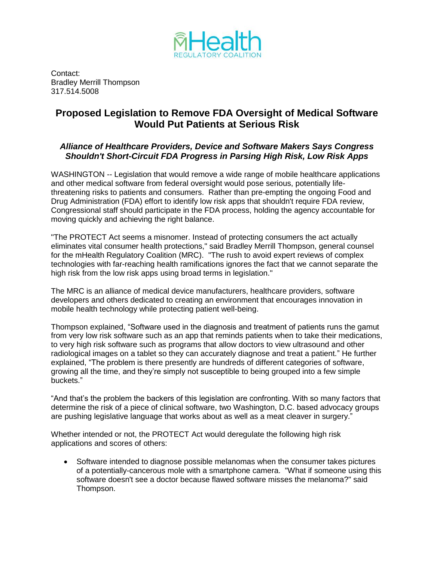

Contact: Bradley Merrill Thompson 317.514.5008

## **Proposed Legislation to Remove FDA Oversight of Medical Software Would Put Patients at Serious Risk**

## *Alliance of Healthcare Providers, Device and Software Makers Says Congress Shouldn't Short-Circuit FDA Progress in Parsing High Risk, Low Risk Apps*

WASHINGTON -- Legislation that would remove a wide range of mobile healthcare applications and other medical software from federal oversight would pose serious, potentially lifethreatening risks to patients and consumers. Rather than pre-empting the ongoing Food and Drug Administration (FDA) effort to identify low risk apps that shouldn't require FDA review, Congressional staff should participate in the FDA process, holding the agency accountable for moving quickly and achieving the right balance.

"The PROTECT Act seems a misnomer. Instead of protecting consumers the act actually eliminates vital consumer health protections," said Bradley Merrill Thompson, general counsel for the mHealth Regulatory Coalition (MRC). "The rush to avoid expert reviews of complex technologies with far-reaching health ramifications ignores the fact that we cannot separate the high risk from the low risk apps using broad terms in legislation."

The MRC is an alliance of medical device manufacturers, healthcare providers, software developers and others dedicated to creating an environment that encourages innovation in mobile health technology while protecting patient well-being.

Thompson explained, "Software used in the diagnosis and treatment of patients runs the gamut from very low risk software such as an app that reminds patients when to take their medications, to very high risk software such as programs that allow doctors to view ultrasound and other radiological images on a tablet so they can accurately diagnose and treat a patient." He further explained, "The problem is there presently are hundreds of different categories of software, growing all the time, and they're simply not susceptible to being grouped into a few simple buckets."

"And that's the problem the backers of this legislation are confronting. With so many factors that determine the risk of a piece of clinical software, two Washington, D.C. based advocacy groups are pushing legislative language that works about as well as a meat cleaver in surgery."

Whether intended or not, the PROTECT Act would deregulate the following high risk applications and scores of others:

 Software intended to diagnose possible melanomas when the consumer takes pictures of a potentially-cancerous mole with a smartphone camera. "What if someone using this software doesn't see a doctor because flawed software misses the melanoma?" said Thompson.